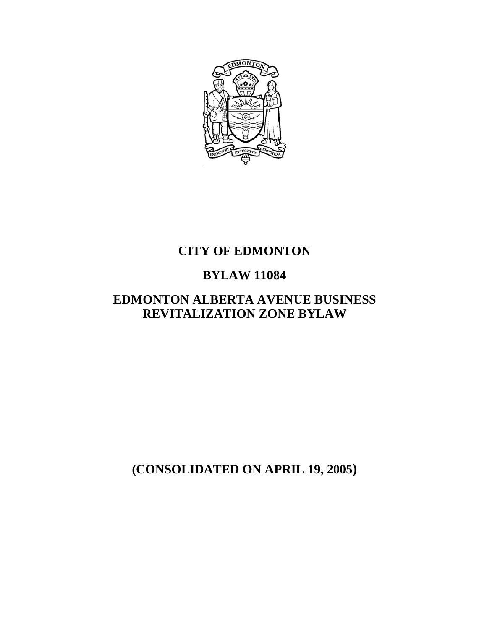

# **CITY OF EDMONTON**

# **BYL LAW 110 084**

## **EDMONTON ALBERTA AVENUE BUSINESS REVITALIZATION ZONE BYLAW**

**(CONSOLIDATED ON APRIL 19, 2005)**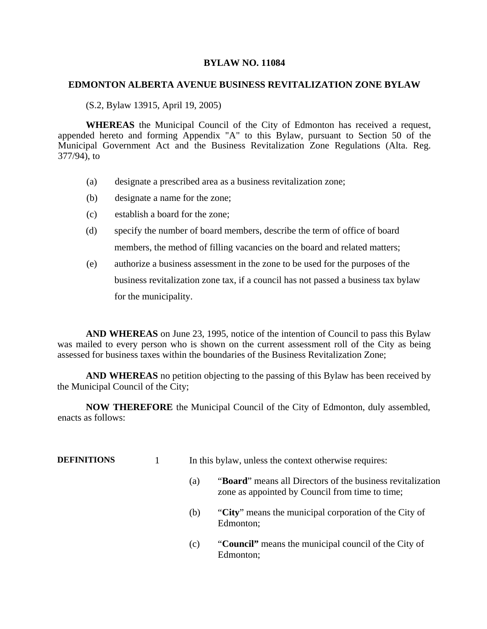### **BYLAW NO. 11084**

## **EDMONTON ALBERTA AVENUE BUSINESS REVITALIZATION ZONE BYLAW**

(S.2, Bylaw 13915, April 19, 2005)

**WHEREAS** the Municipal Council of the City of Edmonton has received a request, appended hereto and forming Appendix "A" to this Bylaw, pursuant to Section 50 of the Municipal Government Act and the Business Revitalization Zone Regulations (Alta. Reg. 377/94), to

- (a) designate a prescribed area as a business revitalization zone;
- (b) designate a name for the zone;
- (c) establish a board for the zone;
- (d) specify the number of board members, describe the term of office of board members, the method of filling vacancies on the board and related matters;
- (e) authorize a business assessment in the zone to be used for the purposes of the business revitalization zone tax, if a council has not passed a business tax bylaw for the municipality.

**AND WHEREAS** on June 23, 1995, notice of the intention of Council to pass this Bylaw was mailed to every person who is shown on the current assessment roll of the City as being assessed for business taxes within the boundaries of the Business Revitalization Zone;

**AND WHEREAS** no petition objecting to the passing of this Bylaw has been received by the Municipal Council of the City;

**NOW THEREFORE** the Municipal Council of the City of Edmonton, duly assembled, enacts as follows:

**DEFINITIONS** 1 In this bylaw, unless the context otherwise requires:

- (a) "**Board**" means all Directors of the business revitalization zone as appointed by Council from time to time;
- (b) "**City**" means the municipal corporation of the City of Edmonton;
- (c) "**Council"** means the municipal council of the City of Edmonton;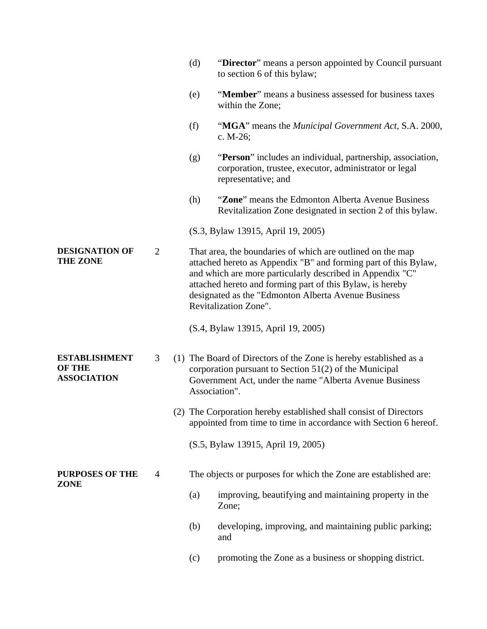|                                                             |                | (d)                                                                                                                                                                                                                                                                                                                                      | "Director" means a person appointed by Council pursuant<br>to section 6 of this bylaw;                                                                                                                     |  |
|-------------------------------------------------------------|----------------|------------------------------------------------------------------------------------------------------------------------------------------------------------------------------------------------------------------------------------------------------------------------------------------------------------------------------------------|------------------------------------------------------------------------------------------------------------------------------------------------------------------------------------------------------------|--|
|                                                             |                | (e)                                                                                                                                                                                                                                                                                                                                      | "Member" means a business assessed for business taxes<br>within the Zone;                                                                                                                                  |  |
|                                                             |                | (f)                                                                                                                                                                                                                                                                                                                                      | "MGA" means the <i>Municipal Government Act</i> , S.A. 2000,<br>c. $M-26$ ;                                                                                                                                |  |
|                                                             |                | (g)                                                                                                                                                                                                                                                                                                                                      | "Person" includes an individual, partnership, association,<br>corporation, trustee, executor, administrator or legal<br>representative; and                                                                |  |
|                                                             |                | (h)                                                                                                                                                                                                                                                                                                                                      | "Zone" means the Edmonton Alberta Avenue Business<br>Revitalization Zone designated in section 2 of this bylaw.                                                                                            |  |
|                                                             |                |                                                                                                                                                                                                                                                                                                                                          | (S.3, Bylaw 13915, April 19, 2005)                                                                                                                                                                         |  |
| <b>DESIGNATION OF</b><br>$\overline{2}$<br><b>THE ZONE</b>  |                | That area, the boundaries of which are outlined on the map<br>attached hereto as Appendix "B" and forming part of this Bylaw,<br>and which are more particularly described in Appendix "C"<br>attached hereto and forming part of this Bylaw, is hereby<br>designated as the "Edmonton Alberta Avenue Business"<br>Revitalization Zone". |                                                                                                                                                                                                            |  |
|                                                             |                |                                                                                                                                                                                                                                                                                                                                          | (S.4, Bylaw 13915, April 19, 2005)                                                                                                                                                                         |  |
| <b>ESTABLISHMENT</b><br><b>OF THE</b><br><b>ASSOCIATION</b> | 3              |                                                                                                                                                                                                                                                                                                                                          | (1) The Board of Directors of the Zone is hereby established as a<br>corporation pursuant to Section $51(2)$ of the Municipal<br>Government Act, under the name "Alberta Avenue Business"<br>Association". |  |
|                                                             |                |                                                                                                                                                                                                                                                                                                                                          | (2) The Corporation hereby established shall consist of Directors<br>appointed from time to time in accordance with Section 6 hereof.                                                                      |  |
|                                                             |                |                                                                                                                                                                                                                                                                                                                                          | (S.5, Bylaw 13915, April 19, 2005)                                                                                                                                                                         |  |
| <b>PURPOSES OF THE</b><br>ZONE                              | $\overline{4}$ |                                                                                                                                                                                                                                                                                                                                          | The objects or purposes for which the Zone are established are:                                                                                                                                            |  |
|                                                             |                | (a)                                                                                                                                                                                                                                                                                                                                      | improving, beautifying and maintaining property in the<br>Zone;                                                                                                                                            |  |
|                                                             |                | (b)                                                                                                                                                                                                                                                                                                                                      | developing, improving, and maintaining public parking;<br>and                                                                                                                                              |  |
|                                                             |                | (c)                                                                                                                                                                                                                                                                                                                                      | promoting the Zone as a business or shopping district.                                                                                                                                                     |  |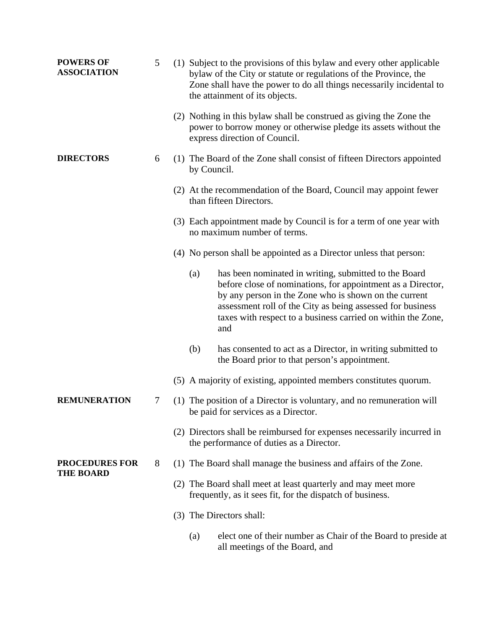| <b>POWERS OF</b><br><b>ASSOCIATION</b>    | 5 | (1) Subject to the provisions of this bylaw and every other applicable<br>bylaw of the City or statute or regulations of the Province, the<br>Zone shall have the power to do all things necessarily incidental to<br>the attainment of its objects.                                                                      |
|-------------------------------------------|---|---------------------------------------------------------------------------------------------------------------------------------------------------------------------------------------------------------------------------------------------------------------------------------------------------------------------------|
|                                           |   | (2) Nothing in this bylaw shall be construed as giving the Zone the<br>power to borrow money or otherwise pledge its assets without the<br>express direction of Council.                                                                                                                                                  |
| <b>DIRECTORS</b>                          | 6 | (1) The Board of the Zone shall consist of fifteen Directors appointed<br>by Council.                                                                                                                                                                                                                                     |
|                                           |   | (2) At the recommendation of the Board, Council may appoint fewer<br>than fifteen Directors.                                                                                                                                                                                                                              |
|                                           |   | (3) Each appointment made by Council is for a term of one year with<br>no maximum number of terms.                                                                                                                                                                                                                        |
|                                           |   | (4) No person shall be appointed as a Director unless that person:                                                                                                                                                                                                                                                        |
|                                           |   | has been nominated in writing, submitted to the Board<br>(a)<br>before close of nominations, for appointment as a Director,<br>by any person in the Zone who is shown on the current<br>assessment roll of the City as being assessed for business<br>taxes with respect to a business carried on within the Zone,<br>and |
|                                           |   | (b)<br>has consented to act as a Director, in writing submitted to<br>the Board prior to that person's appointment.                                                                                                                                                                                                       |
|                                           |   | (5) A majority of existing, appointed members constitutes quorum.                                                                                                                                                                                                                                                         |
| <b>REMUNERATION</b>                       | 7 | (1) The position of a Director is voluntary, and no remuneration will<br>be paid for services as a Director.                                                                                                                                                                                                              |
|                                           |   | (2) Directors shall be reimbursed for expenses necessarily incurred in<br>the performance of duties as a Director.                                                                                                                                                                                                        |
| <b>PROCEDURES FOR</b><br><b>THE BOARD</b> | 8 | (1) The Board shall manage the business and affairs of the Zone.                                                                                                                                                                                                                                                          |
|                                           |   | (2) The Board shall meet at least quarterly and may meet more<br>frequently, as it sees fit, for the dispatch of business.                                                                                                                                                                                                |
|                                           |   | (3) The Directors shall:                                                                                                                                                                                                                                                                                                  |
|                                           |   | elect one of their number as Chair of the Board to preside at<br>(a)<br>all meetings of the Board, and                                                                                                                                                                                                                    |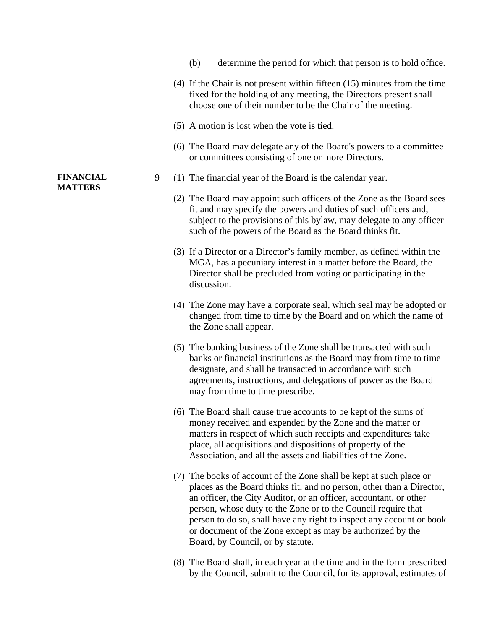|   | determine the period for which that person is to hold office.<br>(b)                                                                                                                                                                                                         |
|---|------------------------------------------------------------------------------------------------------------------------------------------------------------------------------------------------------------------------------------------------------------------------------|
|   | $(4)$ If the Chair is not present within fifteen $(15)$ minutes from the time<br>fixed for the holding of any meeting, the Directors present shall<br>choose one of their number to be the Chair of the meeting.                                                             |
|   | (5) A motion is lost when the vote is tied.                                                                                                                                                                                                                                  |
|   | (6) The Board may delegate any of the Board's powers to a committee<br>or committees consisting of one or more Directors.                                                                                                                                                    |
| 9 | (1) The financial year of the Board is the calendar year.                                                                                                                                                                                                                    |
|   | (2) The Board may appoint such officers of the Zone as the Board sees<br>fit and may specify the powers and duties of such officers and,<br>subject to the provisions of this bylaw, may delegate to any officer<br>such of the powers of the Board as the Board thinks fit. |
|   | (3) If a Director or a Director's family member, as defined within the<br>MGA, has a pecuniary interest in a matter before the Board, the<br>Director shall be precluded from voting or participating in the<br>discussion.                                                  |
|   | (4) The Zone may have a corporate seal, which seal may be adopted or<br>changed from time to time by the Board and on which the name of<br>the Zone shall appear.                                                                                                            |

**FINANCIAL MATTERS** 

- (5) The banking business of the Zone shall be transacted with such banks or financial institutions as the Board may from time to time designate, and shall be transacted in accordance with such agreements, instructions, and delegations of power as the Board may from time to time prescribe.
- (6) The Board shall cause true accounts to be kept of the sums of money received and expended by the Zone and the matter or matters in respect of which such receipts and expenditures take place, all acquisitions and dispositions of property of the Association, and all the assets and liabilities of the Zone.
- (7) The books of account of the Zone shall be kept at such place or places as the Board thinks fit, and no person, other than a Director, an officer, the City Auditor, or an officer, accountant, or other person, whose duty to the Zone or to the Council require that person to do so, shall have any right to inspect any account or book or document of the Zone except as may be authorized by the Board, by Council, or by statute.
- (8) The Board shall, in each year at the time and in the form prescribed by the Council, submit to the Council, for its approval, estimates of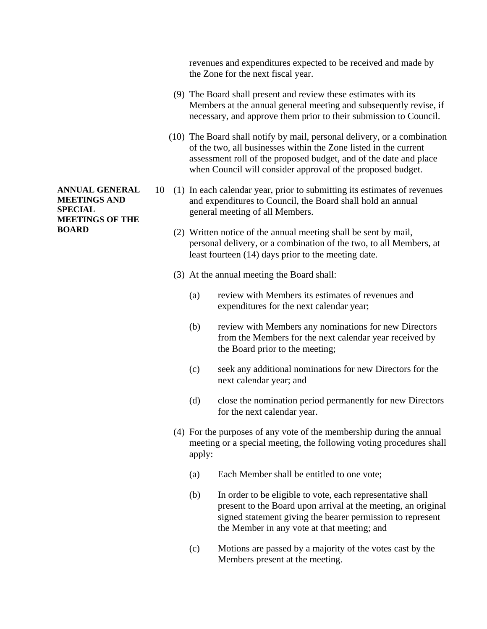revenues and expenditures expected to be received and made by the Zone for the next fiscal year.

- (9) The Board shall present and review these estimates with its Members at the annual general meeting and subsequently revise, if necessary, and approve them prior to their submission to Council.
- (10) The Board shall notify by mail, personal delivery, or a combination of the two, all businesses within the Zone listed in the current assessment roll of the proposed budget, and of the date and place when Council will consider approval of the proposed budget.
- 10 (1) In each calendar year, prior to submitting its estimates of revenues and expenditures to Council, the Board shall hold an annual general meeting of all Members.
	- (2) Written notice of the annual meeting shall be sent by mail, personal delivery, or a combination of the two, to all Members, at least fourteen (14) days prior to the meeting date.
	- (3) At the annual meeting the Board shall:
		- (a) review with Members its estimates of revenues and expenditures for the next calendar year;
		- (b) review with Members any nominations for new Directors from the Members for the next calendar year received by the Board prior to the meeting;
		- (c) seek any additional nominations for new Directors for the next calendar year; and
		- (d) close the nomination period permanently for new Directors for the next calendar year.
	- (4) For the purposes of any vote of the membership during the annual meeting or a special meeting, the following voting procedures shall apply:
		- (a) Each Member shall be entitled to one vote;
		- (b) In order to be eligible to vote, each representative shall present to the Board upon arrival at the meeting, an original signed statement giving the bearer permission to represent the Member in any vote at that meeting; and
		- (c) Motions are passed by a majority of the votes cast by the Members present at the meeting.

**ANNUAL GENERAL MEETINGS AND SPECIAL MEETINGS OF THE BOARD**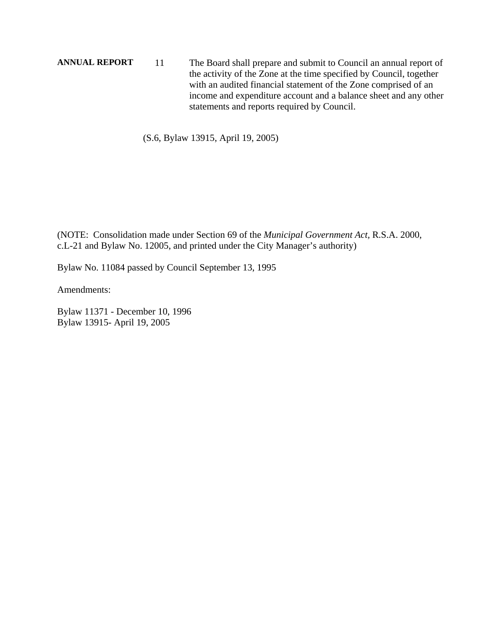## **ANNUAL REPORT** 11 The Board shall prepare and submit to Council an annual report of the activity of the Zone at the time specified by Council, together with an audited financial statement of the Zone comprised of an income and expenditure account and a balance sheet and any other statements and reports required by Council.

(S.6, Bylaw 13915, April 19, 2005)

(NOTE: Consolidation made under Section 69 of the *Municipal Government Act,* R.S.A. 2000, c.L-21 and Bylaw No. 12005, and printed under the City Manager's authority)

Bylaw No. 11084 passed by Council September 13, 1995

Amendments:

Bylaw 11371 - December 10, 1996 Bylaw 13915- April 19, 2005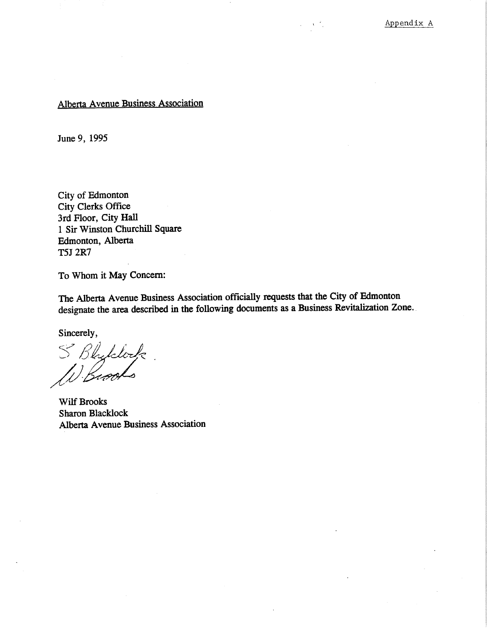June 9, 1995

City of Edmonton City Clerks Office 3rd Floor, City Hall 1 Sir Winston Churchill Square Edmonton, Alberta T5J 2R7

To Whom it May Concern:

The Alberta Avenue Business Association officially requests that the City of Edmonton designate the area described in the following documents as a Business Revitalization Zone.

Sincerely,

S Bluddock

Wilf Brooks Sharon Blacklock Alberta Avenue Business Association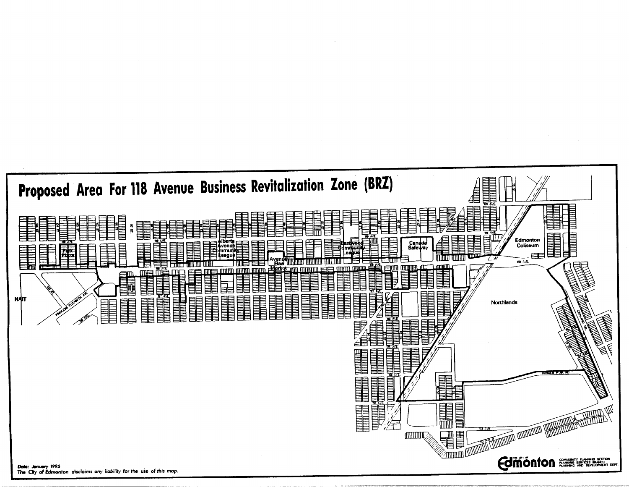

The City of Edmonton disclaims any liability for the use of this map.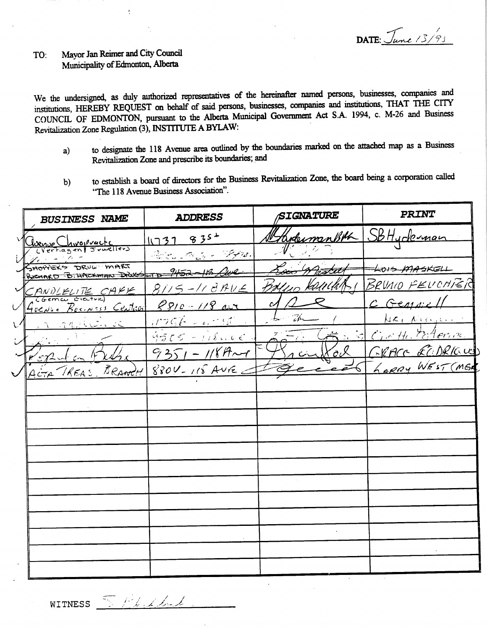DATE:  $\sqrt{2}$ une  $13/95$ 

 $\mathbf{I}$ 

We the undersigned, as duly authorized representatives of the hereinafter named persons, businesses, companies and institutions, HEREBY REQUEST on behalf of said persons, businesses, companies and institutions, THAT THE CITY COUNCIL OF EDMONTON, pursuant to the Alberta Municipal Government Act S.A. 1994, c. M-26 and Business Revitalization Zone Regulation (3), INSTITUTE A BYLAW:

- to designate the 118 Avenue area outlined by the boundaries marked on the attached map as a Business  $a)$ Revitalization Zone and prescribe its boundaries; and
- to establish a board of directors for the Business Revitalization Zone, the board being a corporation called  $b)$ "The 118 Avenue Business Association".

|           | <b>BUSINESS NAME</b>                    | <b>ADDRESS</b>                     | SIGNATURE                | <b>PRINT</b>                                 |
|-----------|-----------------------------------------|------------------------------------|--------------------------|----------------------------------------------|
|           | <u>doenve Chivopvacts</u>               | 113783                             | appermentith             | SBHuderman                                   |
|           | they all the<br>SHOPPERS DRUG MART      | <u> Partis Solaris - Photos.</u>   |                          |                                              |
|           | RICHARD B. HACKMAN DOUGLAD 9452-113 Aul |                                    |                          | <del>LOIS MAS</del> KELL<br>BRUNIO FELICHIER |
|           | CANDLELITE CAFE                         | $8115 - 1189116$                   | $\overline{\mathcal{C}}$ | C Generic                                    |
| $\sqrt{}$ | GUENCE BESINSS CENTRE<br>n napisolo     | $8810 - 118$ ave<br>$11766 - 4756$ |                          | Meinicipii                                   |
|           |                                         | $4505 - 118406$                    | $\star$ $\sim$           | Civille Ellerine                             |
|           |                                         | $9351 - 1184 - 1$                  | <u> Wo X</u>             | FRACE ET DRIGUES                             |
|           | BRANCH<br>ACTA REAS                     | $8804 - 118$ AVE                   |                          | LARRY WEST (MER                              |
|           |                                         |                                    |                          |                                              |
|           |                                         |                                    |                          |                                              |
|           |                                         |                                    |                          |                                              |
|           |                                         |                                    |                          |                                              |
|           |                                         |                                    |                          |                                              |
|           |                                         |                                    |                          |                                              |
|           |                                         |                                    |                          |                                              |
|           |                                         |                                    |                          |                                              |
|           |                                         |                                    |                          |                                              |
|           |                                         |                                    |                          |                                              |

WITNESS <u>SPALL</u>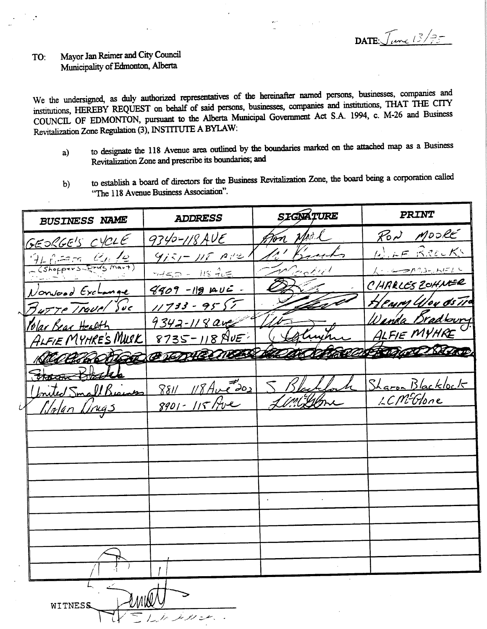DATE:  $\sqrt{Im(13/75)}$ 

We the undersigned, as duly authorized representatives of the hereinafter named persons, businesses, companies and institutions, HEREBY REQUEST on behalf of said persons, businesses, companies and institutions, THAT THE CITY COUNCIL OF EDMONTON, pursuant to the Alberta Municipal Government Act S.A. 1994, c. M-26 and Business Revitalization Zone Regulation (3), INSTITUTE A BYLAW:

- to designate the 118 Avenue area outlined by the boundaries marked on the attached map as a Business  $a)$ Revitalization Zone and prescribe its boundaries; and
- to establish a board of directors for the Business Revitalization Zone, the board being a corporation called  $b)$ "The 118 Avenue Business Association".

| <b>BUSINESS NAME</b>                                   | <b>ADDRESS</b>                        | SIGNATURE | <b>PRINT</b>                    |
|--------------------------------------------------------|---------------------------------------|-----------|---------------------------------|
| GEORGE'S CYCLE                                         | 9340-118 AVE                          |           | RON MOORE                       |
| $\frac{171 f_1 - 279 - 211 f_2}{256999995 - 2745 m^2}$ | $915 - 115 - 9121$                    |           | WIF RECKS                       |
|                                                        | $450 - 115$ $4.5$                     | icro bret | $k = 12500, 3 - 11520$          |
| Nonvood Exchange                                       | $4409 - 119$ $AU =$                   |           | CHARLES ZOHNER                  |
| Burre Travel Suc                                       | $11733 - 9557$                        |           | Henry Way de Tra                |
| <u> 10/ar Bear Health</u>                              | 9342-118 ave                          |           | <u>Venda Bradboury</u>          |
| ALFIE MYHRE'S MUSK                                     | $8735 - 118$ NUE                      |           | ALFIE MYHRE<br>Contract 1880 mm |
|                                                        | COCCHOOL CHERKEENER                   |           |                                 |
| Haron Black                                            |                                       |           | Sharon Blacklock                |
| Inited Small Business                                  | $8811118$ Ave 202<br>$8901 - 115$ fve |           | LCM-Glone                       |
| Glalan Drugs<br>Ĺ                                      |                                       |           |                                 |
|                                                        |                                       |           |                                 |
|                                                        |                                       |           |                                 |
|                                                        |                                       |           |                                 |
|                                                        |                                       |           |                                 |
|                                                        |                                       |           |                                 |
|                                                        |                                       |           |                                 |
|                                                        |                                       |           |                                 |
|                                                        |                                       |           |                                 |
|                                                        |                                       |           |                                 |
|                                                        |                                       |           |                                 |
| WITNESS                                                |                                       |           |                                 |
|                                                        | レルプカン                                 |           |                                 |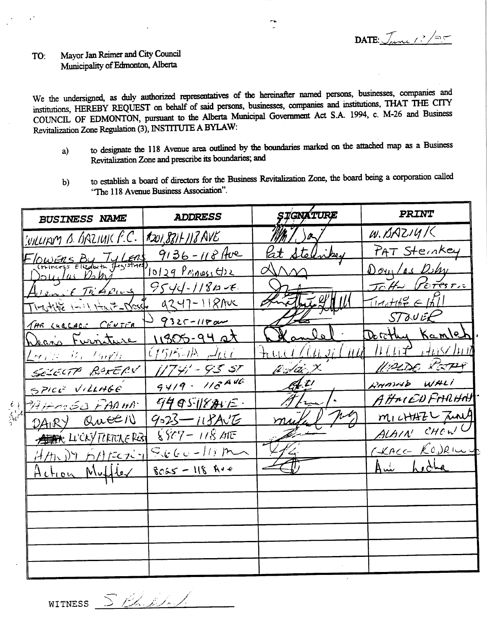DATE:  $J_{\mu\nu}$  /  $\frac{2}{\pi}$ 

We the undersigned, as duly authorized representatives of the hereinafter named persons, businesses, companies and institutions, HEREBY REQUEST on behalf of said persons, businesses, companies and institutions, THAT THE CITY COUNCIL OF EDMONTON, pursuant to the Alberta Municipal Government Act S.A. 1994, c. M-26 and Business Revitalization Zone Regulation (3), INSTITUTE A BYLAW:

- to designate the 118 Avenue area outlined by the boundaries marked on the attached map as a Business  $a)$ Revitalization Zone and prescribe its boundaries; and
- to establish a board of directors for the Business Revitalization Zone, the board being a corporation called  $b)$ "The 118 Avenue Business Association".

| <b>BUSINESS NAME</b>                                                                    | ADDRESS                 | ŞIGNATURE                        | <b>PRINT</b>             |
|-----------------------------------------------------------------------------------------|-------------------------|----------------------------------|--------------------------|
| <u>WILLIAM B. BAZIUK F.C.</u>                                                           | 1201, 881 - 113 AVE     |                                  | $W.$ BAZ14/              |
|                                                                                         | $9136 - 118$ Ave        | lat Stellnikey                   | PAT Steinkey             |
| <u>Flowing By Ty Lens</u><br>Stringess Elizabeth Tres <sup>ist</sup> ar<br>Douilas Domé | <u>lol29 Prinositiz</u> |                                  | Dowles Dehr              |
| 4 Ien E Trapics                                                                         | $9544 - 1186 - 6$       |                                  | Jeff Verestre            |
| $T1 - 111$                                                                              | $4247 - 11870c$         | $\sqrt{1.4}$ 4 $\prime$ 1        | $(14,146e \in 161)$      |
| THE LUCCACE CENTER                                                                      | $9325 - 1180$           |                                  | STOUER                   |
| <u> Jean's Furniture</u>                                                                | 11305-94 st             |                                  | Derithy Kamle            |
| <u>Leonie Pontanowi</u>                                                                 | $(155 - 1)$             | - 11 / A<br><u>Filled Client</u> | $H$ (tipe $_F$ ansc till |
| SELECTA RAKERY                                                                          | <u> 1741 - 93 st</u>    | WA X                             | UPLDE RETAR              |
| SPICE VILLAGE                                                                           | $9419 - 118446$         | 41                               | AMMAD WALI               |
| MARAGO FARMA                                                                            | 9495187E                |                                  | AHMENFARHAH              |
| DAIRY Queen                                                                             | $9025 - 118406$         | mu                               | MICHAZL ZUNA             |
| ATTEN LICKY TERTURE REST                                                                | $887 - 118$ ME          |                                  | ALAIN CHEW               |
| $H/M_{\lambda}$ ) n $H$ read of                                                         | $S_{16}$ 60 - 118 m     |                                  | CRACC RODRING            |
| Action Muffler                                                                          | $8065 - 118$ Ave        |                                  | Ani Lecha                |
|                                                                                         |                         |                                  |                          |
|                                                                                         |                         |                                  |                          |
|                                                                                         |                         |                                  |                          |
|                                                                                         |                         |                                  |                          |
|                                                                                         |                         |                                  |                          |
|                                                                                         |                         |                                  |                          |

 $\frac{\zeta}{2}$ 

WITNESS SPARIA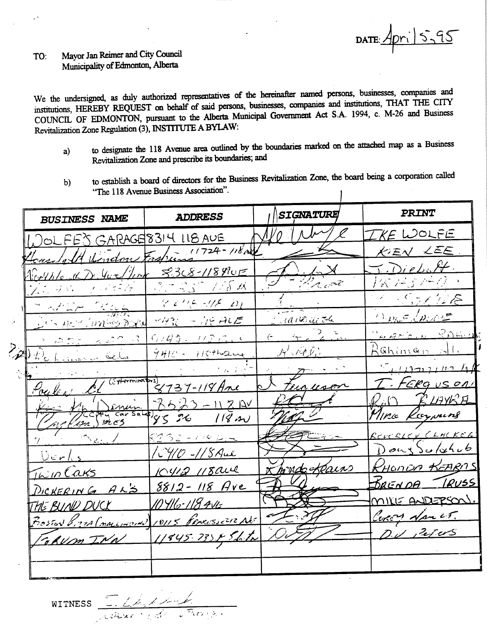$5,95$ DATE:

We the undersigned, as duly authorized representatives of the hereinafter named persons, businesses, companies and institutions, HEREBY REQUEST on behalf of said persons, businesses, companies and institutions, THAT THE CITY COUNCIL OF EDMONTON, pursuant to the Alberta Municipal Government Act S.A. 1994, c. M-26 and Business Revitalization Zone Regulation (3), INSTITUTE A BYLAW:

- to designate the 118 Avenue area outlined by the boundaries marked on the attached map as a Business  $a)$ Revitalization Zone and prescribe its boundaries; and
- to establish a board of directors for the Business Revitalization Zone, the board being a corporation called  $b)$ "The 118 Avenue Business Association".  $\mathbf{I}$

| <b>BUSINESS NAME</b>                                              | <b>ADDRESS</b>                                                                                               | SIGNATURE              | PRINT                                                                                                                           |
|-------------------------------------------------------------------|--------------------------------------------------------------------------------------------------------------|------------------------|---------------------------------------------------------------------------------------------------------------------------------|
| OLFES GARAGE 8314 LIBAUE                                          |                                                                                                              |                        | KE WOLFE                                                                                                                        |
| Undon'                                                            | $h = 1724 - 118$                                                                                             |                        | KIEN LEE                                                                                                                        |
|                                                                   | 8368-118810E                                                                                                 |                        | $\forall$ e/ $\forall$                                                                                                          |
| $\mathcal{A} \propto \mathcal{A}$                                 | アデき ズ<br>7. metal.                                                                                           | $2\,e^{-2}$            | 安定ボルク                                                                                                                           |
| n Miller Co<br>سرائے الممبر                                       | $\mathscr{C}$ by the state $\mathscr{D}_L$                                                                   |                        | 17イム/8                                                                                                                          |
| アルストラ アングル<br>$\label{eq:3} \mathcal{A}=\mathcal{A}\mathcal{M}$   | $\forall \mathcal{H}\mathcal{H}^{\vee}\rightarrow\mathcal{H}\mathcal{C}$ $\mathcal{H}\mathcal{L}\mathcal{E}$ | <u>. (d. M. Ut. 74</u> | $\left\langle \cdot \right\rangle_{D_{\text{A}}\cup\text{C}}\subset \left\langle \cdot \right\rangle_{\text{C}}\cap \mathbb{Z}$ |
| $\approx 22.3$<br>لیا است.<br>البانیات السلام                     | 6/43.1/2.7.                                                                                                  |                        | $4.255.0 - 80.60$                                                                                                               |
| $\sum_{\mathbf{z}}$<br>نمدى اسد                                   | $9410 - 115$ thang                                                                                           | パマの                    | Rahiman                                                                                                                         |
| $(3 + 2)$                                                         | $\mathcal{L}_{\mathcal{A}}$ , $\mathcal{L}_{\mathcal{A}}$ , $\mathcal{L}_{\mathcal{A}}$                      |                        | $\mathbb{Z}$ $(12221)$                                                                                                          |
| 'oe Vi                                                            | 737-118 Ane                                                                                                  | un uson                | EKG US ON<br><u>"Liayk"</u> A                                                                                                   |
| inun.<br>$\frac{2\pi x}{\sqrt{2}}$                                | ストスマーハスロバ                                                                                                    |                        | Mira Kaywung                                                                                                                    |
| $m$ cs<br>$\mathcal{L}$                                           | $118$ m<br>26                                                                                                |                        |                                                                                                                                 |
| ran i                                                             | RESS - 17 <u>9 B</u>                                                                                         |                        | REVERICY CLACKER<br>Dout Suluhub                                                                                                |
| $0$ erks                                                          | 'CHO -//SAul                                                                                                 | mondo Klains           | RHONDA KEARNS                                                                                                                   |
| IninCaks                                                          | 10412 118 ave                                                                                                |                        | BRENDA.<br>- RUSS                                                                                                               |
| DICKERING AL'S                                                    | $8812 - 118$ Are<br>1) Y16-118 AVE                                                                           |                        | MIKE ANDERSON.                                                                                                                  |
| THE BYND DUCK<br>Boston Viera (marcializarda) 10115 PENESSELIZANE |                                                                                                              |                        | Coron Nanct.                                                                                                                    |
|                                                                   | 11845.7354 Shit                                                                                              |                        | $D_{\nu}$ Percis                                                                                                                |
| GRUM INN                                                          |                                                                                                              |                        |                                                                                                                                 |
|                                                                   |                                                                                                              |                        |                                                                                                                                 |

WITNESS <u>S. Charles Company</u>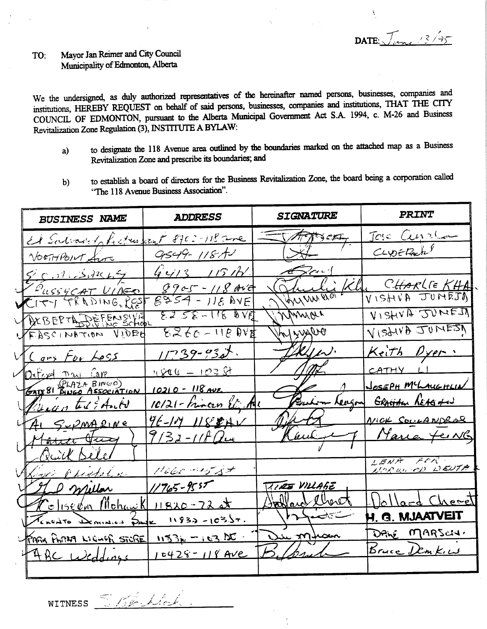DATE:  $\sqrt{mn}$  /3/95

We the undersigned, as duly authorized representatives of the hereinafter named persons, businesses, companies and institutions, HEREBY REQUEST on behalf of said persons, businesses, companies and institutions, THAT THE CITY COUNCIL OF EDMONTON, pursuant to the Alberta Municipal Government Act S.A. 1994, c. M-26 and Business Revitalization Zone Regulation (3), INSTITUTE A BYLAW:

- to designate the 118 Avenue area outlined by the boundaries marked on the attached map as a Business  $a)$ Revitalization Zone and prescribe its boundaries; and
- to establish a board of directors for the Business Revitalization Zone, the board being a corporation called  $b)$ "The 118 Avenue Business Association".

| <b>BUSINESS NAME</b>                           | ADDRESS                 | SIGNATURE      | PRINT                        |
|------------------------------------------------|-------------------------|----------------|------------------------------|
|                                                |                         |                | Jose Curren                  |
| Et Salvan & Ledru 22 + 870 = 118 ane = 15 1750 |                         |                | CLYDERAh <sup>y</sup>        |
| $Z^{2}$ $5.11.53.7262$                         | 44131511                | $\sqrt{2}$     |                              |
|                                                | $8905 - 118$ Ave        | Theli Kh       | CHARLIE KHA                  |
| PUSSYCAT VIDEO                                 | $6954 - 11874$          | Junior         | VISHVA JUNEJ                 |
| LEASCINATION VIDEE                             | $5255 - 11604$          | Gramora        | VISSUVA JUMESA               |
|                                                | $5260 - 11804$          | Valyssere      |                              |
| VICans For Loss                                | $11739 - 932$           | JAGU.          | Keith Dyer                   |
|                                                | $11844 - 10381$         | $\mathscr{A}$  | CATHY LI                     |
| Oxford Davi Care<br>GATE 81 BINGO)             | <u> 10210 - 118 Ave</u> |                | <u>JOSEPH</u> MCLAUGHLIN     |
| Prescent to Educate                            | 10/21 - Frances Et Au   |                | Buchon Leagon General REAGAN |
| 4 SUPMARINE                                    | 96-19 1188AV            | Thet           | <i>MICK SOULANDROS</i>       |
| March Hury                                     | 9132-118 au             | Kantife        | 7 Maria Teing                |
| <u>Ruick Bele</u>                              |                         |                |                              |
| Vario Phistolia                                | $11660 - 4537$          |                | LENA FOR                     |
| Vero mellon                                    | $11765 - 9557$          | TIRE VILAGE    |                              |
| <u> Tolisedon Mohawk 11820-72st</u>            |                         | Jallard Closet | Dollard Cheret               |
| Texcuto Demisies Page 11832-1035.              |                         | hafidet        | H. G. MJAATVEIT              |
| VEARY PLANA LIGHOR STORE 11531 -103 DC.        |                         | Die minam      | DANE MARSCH.                 |
| 4 A BC Weddings 10428 - 118 Ave                |                         | B. Comb        | <u>Bruce Demkin</u>          |
|                                                |                         |                |                              |

WITNESS Therefore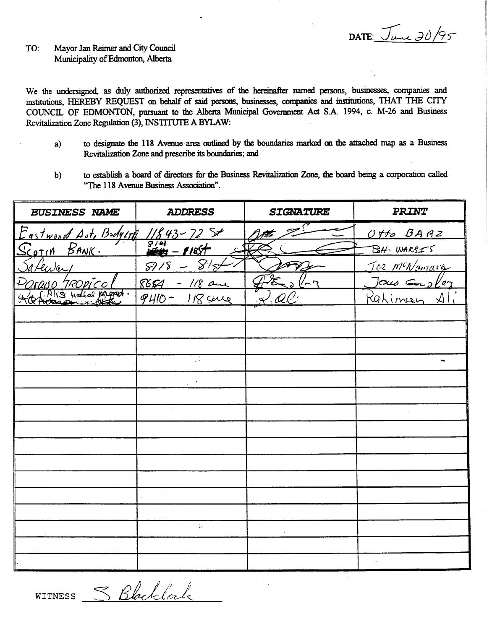DATE:  $J_{unc}$  20/95

We the undersigned, as duly authorized representatives of the hereinafter named persons, businesses, companies and institutions, HEREBY REQUEST on behalf of said persons, businesses, companies and institutions, THAT THE CITY COUNCIL OF EDMONTON, pursuant to the Alberta Municipal Government Act S.A. 1994, c. M-26 and Business Revitalization Zone Regulation (3), INSTITUTE A BYLAW:

- to designate the 118 Avenue area outlined by the boundaries marked on the attached map as a Business  $a)$ Revitalization Zone and prescribe its boundaries; and
- to establish a board of directors for the Business Revitalization Zone, the board being a corporation called  $b)$ "The 118 Avenue Business Association".

| <b>BUSINESS NAME</b>              | <b>ADDRESS</b>    | <b>SIGNATURE</b> | PRINT                  |
|-----------------------------------|-------------------|------------------|------------------------|
|                                   |                   |                  | Otto BARZ              |
| Eastwood Auto Bodycra 11843-72 Sv |                   |                  | $BH - WARSTS$          |
| Keway                             | $8718 - 8157$     |                  | Toe McNamara           |
| <u> Poraiso tropico</u>           | $8654 - 118$ and  |                  | $J\alpha\omega$ Employ |
| Alis Hallal paget.                | $9410 - 118$ care |                  | Kahiman<br>$\Delta$ (  |
|                                   |                   |                  |                        |
|                                   |                   |                  |                        |
|                                   |                   |                  |                        |
|                                   | $\mathbb{R}$      |                  | $\ddot{\phantom{1}}$   |
|                                   |                   |                  |                        |
|                                   |                   |                  |                        |
|                                   |                   |                  |                        |
|                                   |                   |                  |                        |
|                                   |                   |                  |                        |
|                                   |                   |                  |                        |
|                                   |                   |                  |                        |
|                                   |                   |                  |                        |
|                                   |                   |                  |                        |
|                                   | $\zeta_{\star}$   |                  |                        |
|                                   |                   |                  |                        |
|                                   |                   |                  |                        |

l,

S Blacklock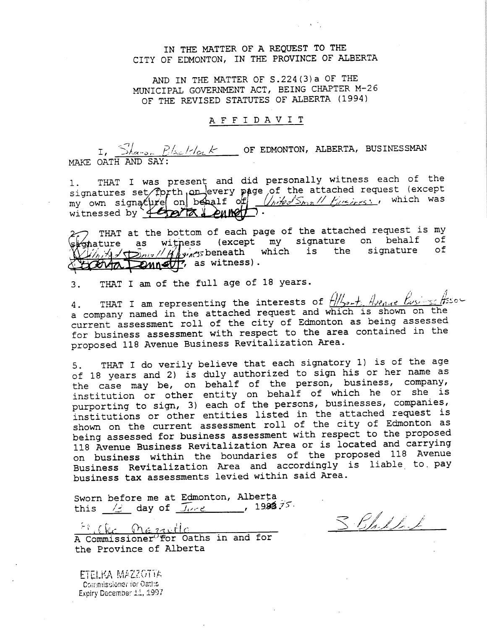## IN THE MATTER OF A REQUEST TO THE CITY OF EDMONTON, IN THE PROVINCE OF ALBERTA

 $\sim 10^{-10}$ 

AND IN THE MATTER OF S.224(3) a OF THE MUNICIPAL GOVERNMENT ACT, BEING CHAPTER M-26 OF THE REVISED STATUTES OF ALBERTA (1994)

### AFFIDAVIT

I,  $\frac{\sum_{k=0}^{n} P_{k-}/P_{k-}}{P_{k-}/P_{k-}}$  OF EDMONTON, ALBERTA, BUSINESSMAN MAKE OATH AND SAY:

THAT I was present and did personally witness each of the signatures set florth on every page of the attached request (except<br>my own signature on behalf of  $\sqrt{n/2}\sqrt{2m}$  /  $\sqrt{n/2}\sqrt{2m}$ , which was witnessed by <del>Chara Dundt.</del>

THAT at the bottom of each page of the attached request is my stonature as witness (except my signature on behalf of Centa Duncti, as witness).

THAT I am of the full age of 18 years.  $3.$ 

THAT I am representing the interests of  $\frac{f_1/f_2}{f_1}$ ,  $f_2$ ,  $f_3$ ,  $f_4$ ,  $f_5$ ,  $f_6$ , 4. a company named in the attached request and which is shown on the current assessment roll of the city of Edmonton as being assessed for business assessment with respect to the area contained in the proposed 118 Avenue Business Revitalization Area.

THAT I do verily believe that each signatory 1) is of the age 5. of 18 years and 2) is duly authorized to sign his or her name as the case may be, on behalf of the person, business, company, institution or other entity on behalf of which he or she is purporting to sign, 3) each of the persons, businesses, companies, institutions or other entities listed in the attached request is shown on the current assessment roll of the city of Edmonton as being assessed for business assessment with respect to the proposed 118 Avenue Business Revitalization Area or is located and carrying on business within the boundaries of the proposed 118 Avenue Business Revitalization Area and accordingly is liable to pay business tax assessments levied within said Area.

Sworn before me at Edmonton, Alberta this  $\frac{12}{2}$  day of  $\frac{7}{2}$ , 1988.75.

El Clec Marsello A Commissioner for Oaths in and for the Province of Alberta

S Bhill L

ETELEA MAZZOTTA Commissioner for Oatlis Expiry December 11, 1997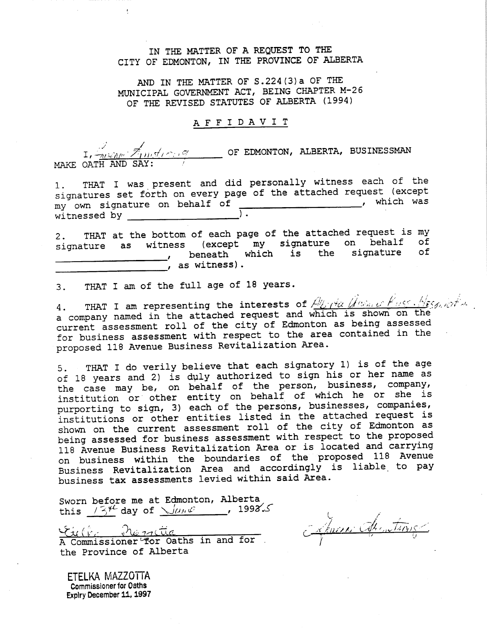## IN THE MATTER OF A REQUEST TO THE CITY OF EDMONTON, IN THE PROVINCE OF ALBERTA

AND IN THE MATTER OF S.224(3) a OF THE MUNICIPAL GOVERNMENT ACT, BEING CHAPTER M-26 OF THE REVISED STATUTES OF ALBERTA (1994)

### AFFIDAVIT

I,  $\frac{1}{\sqrt{2(1-\frac{1}{2})N}}$  of EDMONTON, ALBERTA, BUSINESSMAN MAKE OATH AND SAY:

THAT I was present and did personally witness each of the 1. signatures set forth on every page of the attached request (except my own signature on behalf of \_\_\_\_\_\_\_\_\_\_\_\_\_\_\_\_\_\_\_\_\_\_, which was  $\overline{\phantom{a}}$ witnessed by

THAT at the bottom of each page of the attached request is my  $2.$ signature as witness (except my signature on behalf of , beneath which is the signature of  $\overline{\phantom{a}}$ , as witness).

THAT I am of the full age of 18 years. 3.

ť

THAT I am representing the interests of Allerta Unsaint Pass Associate  $4.$ a company named in the attached request and which is shown on the current assessment roll of the city of Edmonton as being assessed for business assessment with respect to the area contained in the proposed 118 Avenue Business Revitalization Area.

THAT I do verily believe that each signatory 1) is of the age 5. of 18 years and 2) is duly authorized to sign his or her name as the case may be, on behalf of the person, business, company, institution or other entity on behalf of which he or she is purporting to sign, 3) each of the persons, businesses, companies, institutions or other entities listed in the attached request is shown on the current assessment roll of the city of Edmonton as being assessed for business assessment with respect to the proposed 118 Avenue Business Revitalization Area or is located and carrying on business within the boundaries of the proposed 118 Avenue Business Revitalization Area and accordingly is liable to pay business tax assessments levied within said Area.

Sworn before me at Edmonton, Alberta this  $\frac{1}{3}$ <sup>4</sup> day of  $\sqrt{u_h u^2}$ , 1998.5

Field hometic A Commissioner for Oaths in and for the Province of Alberta

Experience Alimations

ETELKA MAZZOTTA **Commissioner for Oaths** Explry December 11, 1997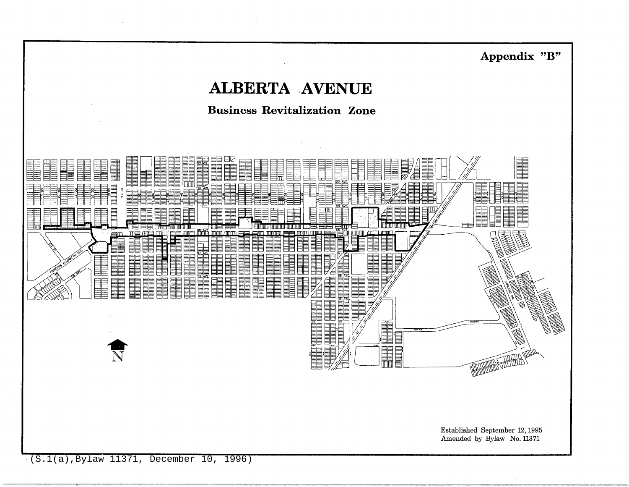

(S.1(a), Bylaw 11371, December 10, 1996)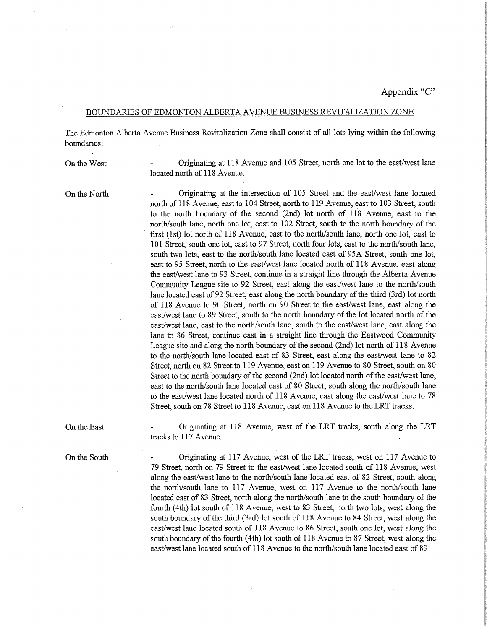Appendix "C"

#### BOUNDARIES OF EDMONTON ALBERTA AVENUE BUSINESS REVITALIZATION ZONE

The Edmonton Alberta Avenue Business Revitalization Zone shall consist of all lots lying within the following boundaries:

On the West

Originating at 118 Ayenue and 105 Street, north one lot to the east/west lane located north of 118 Avenue.

On the North

Originating at the intersection of 105 Street and the east/west lane located  $\ddot{\phantom{1}}$ north of 118 Avenue, east to 104 Street, north to 119 Avenue, east to 103 Street, south to the north boundary of the second (2nd) lot north of 118 Avenue, east to the north/south lane, north one lot, east to 102 Street, south to the north boundary of the first (1st) lot north of 118 Avenue, east to the north/south lane, north one lot, east to 101 Street, south one lot, east to 97 Street, north four lots, east to the north/south lane, south two lots, east to the north/south lane located east of 95A Street, south one lot, east to 95 Street, north to the east/west lane located north of 118 Avenue, east along the east/west lane to 93 Street, continue in a straight line through the Alberta Avenue Community League site to 92 Street, east along the east/west lane to the north/south lane located east of 92 Street, east along the north boundary of the third (3rd) lot north of 118 Avenue to 90 Street, north on 90 Street to the east/west lane, east along the east/west lane to 89 Street, south to the north boundary of the lot located north of the east/west lane, east to the north/south lane, south to the east/west lane, east along the lane to 86 Street, continue east in a straight line through the Eastwood Community League site and along the north boundary of the second (2nd) lot north of 118 Avenue to the north/south lane located east of 83 Street, east along the east/west lane to 82 Street, north on 82 Street to 119 Avenue, east on 119 Avenue to 80 Street, south on 80 Street to the north boundary of the second (2nd) lot located north of the east/west lane, east to the north/south lane located east of 80 Street, south along the north/south lane to the east/west lane located north of 118 Avenue, east along the east/west lane to 78 Street, south on 78 Street to 118 Avenue, east on 118 Avenue to the LRT tracks.

On the East

Originating at 118 Avenue, west of the LRT tracks, south along the LRT tracks to 117 Avenue.

On the South

Originating at 117 Avenue, west of the LRT tracks, west on 117 Avenue to 79 Street, north on 79 Street to the east/west lane located south of 118 Avenue, west along the east/west lane to the north/south lane located east of 82 Street, south along the north/south lane to 117 Avenue, west on 117 Avenue to the north/south lane located east of 83 Street, north along the north/south lane to the south boundary of the fourth (4th) lot south of 118 Avenue, west to 83 Street, north two lots, west along the south boundary of the third (3rd) lot south of 118 Avenue to 84 Street, west along the east/west lane located south of 118 Avenue to 86 Street, south one lot, west along the south boundary of the fourth (4th) lot south of 118 Avenue to 87 Street, west along the east/west lane located south of 118 Avenue to the north/south lane located east of 89